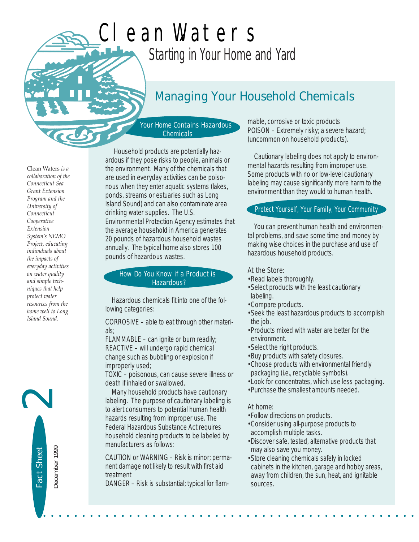# *Starting in Your Home and Yard* Clean Waters

# *Managing Your Household Chemicals*

Your Home Contains Hazardous **Chemicals** 

Clean Waters *is a collaboration of the Connecticut Sea Grant Extension Program and the University of Connecticut Cooperative Extension System's NEMO Project, educating individuals about the impacts of everyday activities on water quality and simple techniques that help protect water resources from the home well to Long Island Sound.* 

Fact Sheet

Fact Sheet

December 1999

December 1999

2

Household products are potentially hazardous if they pose risks to people, animals or the environment. Many of the chemicals that are used in everyday activities can be poisonous when they enter aquatic systems (lakes, ponds, streams or estuaries such as Long Island Sound) and can also contaminate area drinking water supplies. The U.S. Environmental Protection Agency estimates that the average household in America generates 20 pounds of hazardous household wastes annually. The typical home also stores 100 pounds of hazardous wastes.

#### How Do You Know if a Product is Hazardous?

Hazardous chemicals fit into one of the following categories:

CORROSIVE – able to eat through other materials;

FLAMMABLE – can ignite or burn readily; REACTIVE – will undergo rapid chemical change such as bubbling or explosion if improperly used;

TOXIC – poisonous, can cause severe illness or death if inhaled or swallowed.

Many household products have cautionary labeling. The purpose of cautionary labeling is to alert consumers to potential human health hazards resulting from improper use. The Federal Hazardous Substance Act requires household cleaning products to be labeled by manufacturers as follows:

CAUTION or WARNING – Risk is minor; permanent damage not likely to result with first aid treatment

DANGER – Risk is substantial; typical for flam-

mable, corrosive or toxic products POISON – Extremely risky; a severe hazard; (uncommon on household products).

Cautionary labeling does not apply to environmental hazards resulting from improper use. Some products with no or low-level cautionary labeling may cause significantly more harm to the environment than they would to human health.

# Protect Yourself, Your Family, Your Community

You can prevent human health and environmental problems, and save some time and money by making wise choices in the purchase and use of hazardous household products.

At the Store:

- •Read labels thoroughly.
- •Select products with the least cautionary labeling.
- •Compare products.
- •Seek the least hazardous products to accomplish the job.
- •Products mixed with water are better for the environment.
- •Select the right products.
- •Buy products with safety closures.
- •Choose products with environmental friendly packaging (i.e., recyclable symbols).
- •Look for concentrates, which use less packaging.
- •Purchase the smallest amounts needed.

# At home:

• • • • • • • • • • • • • • • • • • • • • • • • • • • • • • • • • • • • • • • • • • • • • • • •

- •Follow directions on products.
- •Consider using all-purpose products to accomplish multiple tasks.
- •Discover safe, tested, alternative products that may also save you money.
- •Store cleaning chemicals safely in locked cabinets in the kitchen, garage and hobby areas, away from children, the sun, heat, and ignitable sources.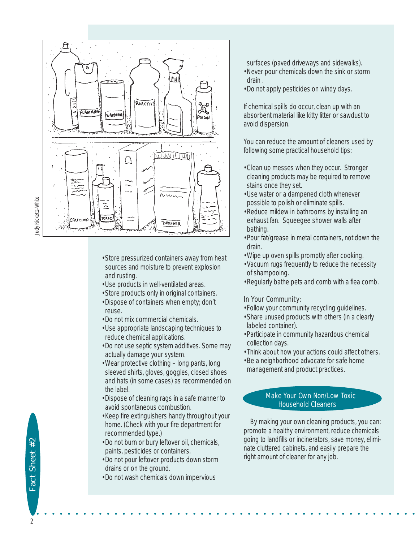

- •Store pressurized containers away from heat sources and moisture to prevent explosion and rusting.
- •Use products in well-ventilated areas.
- •Store products only in original containers.
- •Dispose of containers when empty; don't reuse.
- •Do not mix commercial chemicals.
- •Use appropriate landscaping techniques to reduce chemical applications.
- •Do not use septic system additives. Some may actually damage your system.
- •Wear protective clothing long pants, long sleeved shirts, gloves, goggles, closed shoes and hats (in some cases) as recommended on the label.
- •Dispose of cleaning rags in a safe manner to avoid spontaneous combustion.
- •Keep fire extinguishers handy throughout your home. (Check with your fire department for recommended type.)
- •Do not burn or bury leftover oil, chemicals, paints, pesticides or containers.
- •Do not pour leftover products down storm drains or on the ground.
- •Do not wash chemicals down impervious

surfaces (paved driveways and sidewalks).

- •Never pour chemicals down the sink or storm drain .
- •Do not apply pesticides on windy days.

If chemical spills do occur, clean up with an absorbent material like kitty litter or sawdust to avoid dispersion.

You can reduce the amount of cleaners used by following some practical household tips:

- •Clean up messes when they occur. Stronger cleaning products may be required to remove stains once they set.
- •Use water or a dampened cloth whenever possible to polish or eliminate spills.
- •Reduce mildew in bathrooms by installing an exhaust fan. Squeegee shower walls after bathing.
- •Pour fat/grease in metal containers, not down the drain.
- •Wipe up oven spills promptly after cooking.
- •Vacuum rugs frequently to reduce the necessity of shampooing.
- •Regularly bathe pets and comb with a flea comb.

#### In Your Community:

- •Follow your community recycling guidelines.
- •Share unused products with others (in a clearly labeled container).
- •Participate in community hazardous chemical collection days.
- •Think about how your actions could affect others. •Be a neighborhood advocate for safe home
- management and product practices.

#### Make Your Own Non/Low Toxic Household Cleaners

By making your own cleaning products, you can: promote a healthy environment, reduce chemicals going to landfills or incinerators, save money, eliminate cluttered cabinets, and easily prepare the right amount of cleaner for any job.

Judy Ricketts-White Judy Ricketts-White

2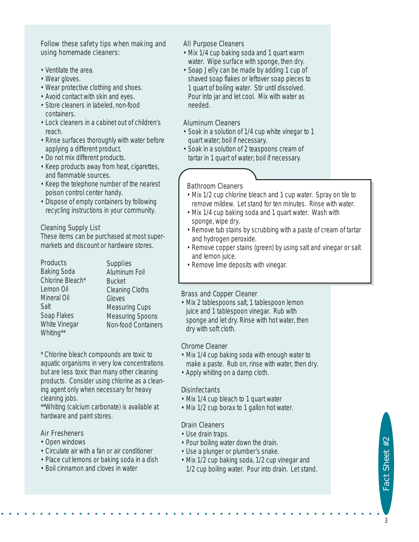#### *Follow these safety tips when making and using homemade cleaners:*

- Ventilate the area.
- Wear gloves.
- Wear protective clothing and shoes.
- Avoid contact with skin and eyes.
- Store cleaners in labeled, non-food containers.
- Lock cleaners in a cabinet out of children's reach.
- Rinse surfaces thoroughly with water before applying a different product.
- Do not mix different products.
- Keep products away from heat, cigarettes, and flammable sources.
- Keep the telephone number of the nearest poison control center handy.
- Dispose of empty containers by following recycling instructions in your community.

# Cleaning Supply List

These items can be purchased at most supermarkets and discount or hardware stores.

#### Products

Baking Soda Chlorine Bleach\* Lemon Oil Mineral Oil Salt Soap Flakes White Vinegar Whiting\*\*

**Supplies** Aluminum Foil Bucket Cleaning Cloths Gloves Measuring Cups Measuring Spoons Non-food Containers

\* Chlorine bleach compounds are toxic to aquatic organisms in very low concentrations but are less toxic than many other cleaning products. Consider using chlorine as a cleaning agent only when necessary for heavy cleaning jobs.

\*\*Whiting (calcium carbonate) is available at hardware and paint stores.

# Air Fresheners

- Open windows
- Circulate air with a fan or air conditioner
- Place cut lemons or baking soda in a dish
- Boil cinnamon and cloves in water

#### All Purpose Cleaners

- Mix 1/4 cup baking soda and 1 quart warm water. Wipe surface with sponge, then dry.
- Soap Jelly can be made by adding 1 cup of shaved soap flakes or leftover soap pieces to 1 quart of boiling water. Stir until dissolved. Pour into jar and let cool. Mix with water as needed.

# Aluminum Cleaners

- Soak in a solution of 1/4 cup white vinegar to 1 quart water; boil if necessary.
- Soak in a solution of 2 teaspoons cream of tartar in 1 quart of water; boil if necessary.

# Bathroom Cleaners

- Mix 1/2 cup chlorine bleach and 1 cup water. Spray on tile to remove mildew. Let stand for ten minutes. Rinse with water.
- Mix 1/4 cup baking soda and 1 quart water. Wash with sponge, wipe dry.
- Remove tub stains by scrubbing with a paste of cream of tartar and hydrogen peroxide.
- Remove copper stains (green) by using salt and vinegar or salt and lemon juice.
- Remove lime deposits with vinegar.

# Brass and Copper Cleaner

• Mix 2 tablespoons salt, 1 tablespoon lemon juice and 1 tablespoon vinegar. Rub with sponge and let dry. Rinse with hot water, then dry with soft cloth.

# Chrome Cleaner

- Mix 1/4 cup baking soda with enough water to make a paste. Rub on, rinse with water, then dry.
- Apply whiting on a damp cloth.

# **Disinfectants**

- Mix 1/4 cup bleach to 1 quart water
- Mix 1/2 cup borax to 1 gallon hot water.

# Drain Cleaners

• Use drain traps.

• • • • • • • • • • • • • • • • • • • • • • • • • • • • • • • • • • • • • • • • • • • • • • • • •

- Pour boiling water down the drain.
- Use a plunger or plumber's snake.
- Mix 1/2 cup baking soda, 1/2 cup vinegar and 1/2 cup boiling water. Pour into drain. Let stand.

Fact Sheet #2 Fact Sheet #2